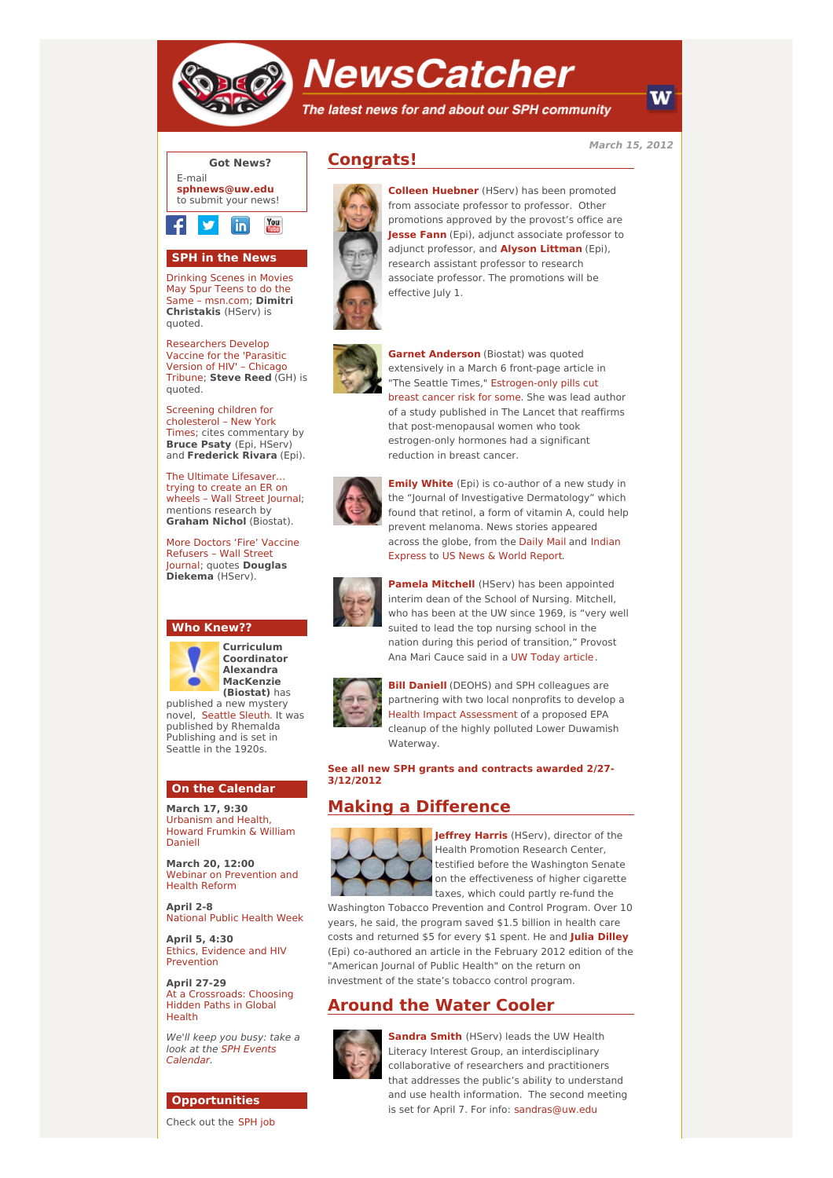

# **NewsCatcher**

The latest news for and about our SPH community

**March 15, 2012**



### **SPH in the News**

Drinking Scenes in Movies May Spur Teens to do the Same – [msn.com;](http://engage.washington.edu/site/R?i=zl0V7NSZsk05Bzz-7N4r4Q) **Dimitri Christakis** (HServ) is quoted.

[Researchers](http://engage.washington.edu/site/R?i=7nHoD8jvzZ78-jqg5YUslg) Develop Vaccine for the 'Parasitic Version of HIV' – Chicago Tribune; **Steve Reed** (GH) is quoted.

Screening children for [cholesterol](http://engage.washington.edu/site/R?i=WUf2jbBM0T5rfX-K4Y9ZcQ) – New York Times; cites commentary by **Bruce Psaty** (Epi, HServ) and **Frederick Rivara** (Epi).

The Ultimate [Lifesaver…](http://engage.washington.edu/site/R?i=EXkv3XLhNPToqzO5rbWlrQ) trying to create an ER on wheels – Wall Street Journal; mentions research by **Graham Nichol** (Biostat).

More Doctors 'Fire' Vaccine [Refusers](http://engage.washington.edu/site/R?i=OgwHPLPIcSgUOKGUo2kyrQ) – Wall Street Journal; quotes **Douglas Diekema** (HServ).

#### **Who Knew??**



**Curriculum Coordinator Alexandra MacKenzie (Biostat)** has published a new mystery

novel, [Seattle](http://engage.washington.edu/site/R?i=xanDfB9Gn05mlV8fQulauw) Sleuth. It was published by Rhemalda Publishing and is set in Seattle in the 1920s.

#### **On the Calendar**

**March 17, 9:30** [Urbanism](http://engage.washington.edu/site/R?i=TYhmXVSYKwbc8rwf7dm8Gg) and Health, Howard Frumkin & William Daniell

**March 20, 12:00** Webinar on [Prevention](http://engage.washington.edu/site/R?i=Xx65LZ56TLDv9TEKZcByvw) and Health Reform

**April 2-8** [National](http://engage.washington.edu/site/R?i=IOD1OcZcVY6esflXOhQ_xg) Public Health Week

**April 5, 4:30** Ethics, Evidence and HIV [Prevention](http://engage.washington.edu/site/R?i=oN4cCsn3-NikenCmbUMQOw)

**April 27-29** At a [Crossroads:](http://engage.washington.edu/site/R?i=P_bPFNKeSigbiown3OdAqA) Choosing Hidden Paths in Global Health

We'll keep you busy: take a look at the SPH Events [Calendar.](http://engage.washington.edu/site/R?i=Iwn1ed5b4HIOSYFT8MOSaQ)

#### **Opportunities**

[Check](http://engage.washington.edu/site/R?i=oNNx4Lkxr-IPsqNqQ8eZQQ) out the SPH job

## **Congrats!**



**Colleen [Huebner](http://engage.washington.edu/site/R?i=veU-90u_IXp4X9XowTeV-g)** (HServ) has been promoted from associate professor to professor. Other promotions approved by the provost's office are **[Jesse](http://engage.washington.edu/site/R?i=SwGncDilK4gqTDKpJdUDqg) Fann** (Epi), adjunct associate professor to adjunct professor, and **Alyson [Littman](http://engage.washington.edu/site/R?i=bthcB5zPnGHIAzXcA4q0Tg)** (Epi), research assistant professor to research associate professor. The promotions will be effective July 1.



**Garnet [Anderson](http://engage.washington.edu/site/R?i=ZTZl-Ki709P5wc2KwaOllw)** (Biostat) was quoted extensively in a March 6 front-page article in "The Seattle Times," [Estrogen-only](http://engage.washington.edu/site/R?i=vwg2D750v3HWbKk-6wiPTg) pills cut breast cancer risk for some. She was lead author of a study published in The Lancet that reaffirms that post-menopausal women who took estrogen-only hormones had a significant reduction in breast cancer.



**Emily [White](http://engage.washington.edu/site/R?i=nXWXgEKbzfFOLaJ6nYWUWw)** (Epi) is co-author of a new study in the "Journal of Investigative Dermatology" which found that retinol, a form of vitamin A, could help prevent melanoma. News stories appeared across the globe, from the [Daily](http://engage.washington.edu/site/R?i=x7OVLWpW-qeTYthGYrkvKA) Mail and Indian [Express](http://engage.washington.edu/site/R?i=ZnskEf0yYmPQwLpewKEBXQ) to US News & World [Report](http://engage.washington.edu/site/R?i=fnxdWwXotexMYCh_0NUwGw).



**Pamela [Mitchell](http://engage.washington.edu/site/R?i=m833rLUCPfJ17Tg8QP454g)** (HServ) has been appointed interim dean of the School of Nursing. Mitchell, who has been at the UW since 1969, is "very well suited to lead the top nursing school in the nation during this period of transition," Provost Ana Mari Cauce said in a UW Today [article](http://engage.washington.edu/site/R?i=Jhz37n_-QReSN1RQZ6s1dQ).



**Bill [Daniell](http://engage.washington.edu/site/R?i=Kihwf4TJEKAB47EEPmmM9Q)** (DEOHS) and SPH colleagues are partnering with two local nonprofits to develop a Health Impact [Assessment](http://engage.washington.edu/site/R?i=-lz35oFOdj9SAFHVIX4v7Q) of a proposed EPA cleanup of the highly polluted Lower Duwamish Waterway.

**See all new SPH grants and [contracts](http://engage.washington.edu/site/R?i=EiqZO73vy-QoAhD_db3cpQ) awarded 2/27- 3/12/2012**

## **Making a Difference**



**[Jeffrey](http://engage.washington.edu/site/R?i=GzLGSgpL3Is0V9jykwf-mw) Harris** (HServ), director of the Health Promotion Research Center, testified before the Washington Senate on the effectiveness of higher cigarette taxes, which could partly re-fund the

Washington Tobacco Prevention and Control Program. Over 10 years, he said, the program saved \$1.5 billion in health care costs and returned \$5 for every \$1 spent. He and **Julia [Dilley](http://engage.washington.edu/site/R?i=t8G8txV9pzhZKa7CsRJYyw)** (Epi) co-authored an article in the February 2012 edition of the "American Journal of Public Health" on the return on investment of the state's tobacco control program.

## **Around the Water Cooler**



**[Sandra](http://engage.washington.edu/site/R?i=SmLRccR3l0THM6kS0x2IEA) Smith** (HServ) leads the UW Health Literacy Interest Group, an interdisciplinary collaborative of researchers and practitioners that addresses the public's ability to understand and use health information. The second meeting is set for April 7. For info: [sandras@uw.edu](mailto:sandras@uw.edu)

W